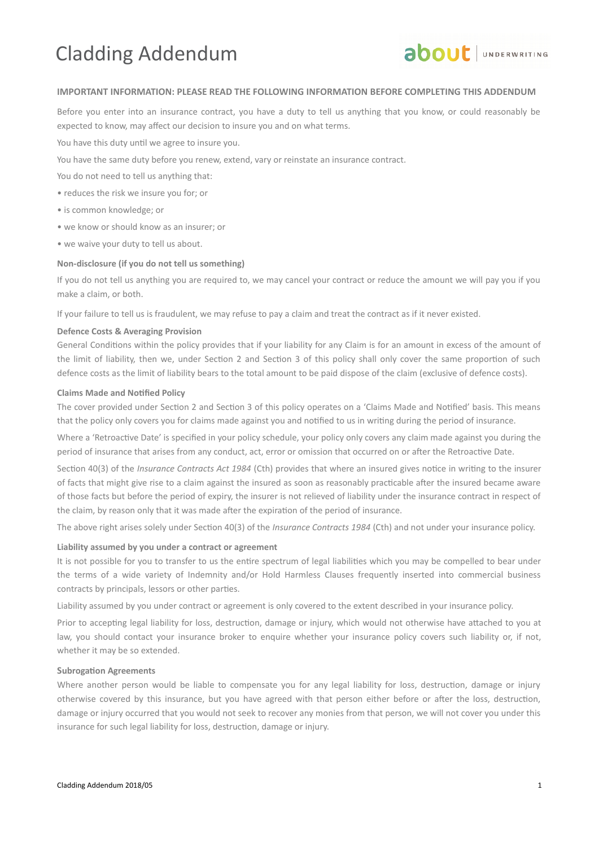# Cladding Addendum



# **IMPORTANT INFORMATION: PLEASE READ THE FOLLOWING INFORMATION BEFORE COMPLETING THIS ADDENDUM**

Before you enter into an insurance contract, you have a duty to tell us anything that you know, or could reasonably be expected to know, may affect our decision to insure you and on what terms.

You have this duty until we agree to insure you.

You have the same duty before you renew, extend, vary or reinstate an insurance contract.

You do not need to tell us anything that:

- reduces the risk we insure you for; or
- is common knowledge; or
- we know or should know as an insurer; or
- we waive your duty to tell us about.

#### **Non-disclosure (if you do not tell us something)**

If you do not tell us anything you are required to, we may cancel your contract or reduce the amount we will pay you if you make a claim, or both.

If your failure to tell us is fraudulent, we may refuse to pay a claim and treat the contract as if it never existed.

### **Defence Costs & Averaging Provision**

General Conditons within the policy provides that if your liability for any Claim is for an amount in excess of the amount of the limit of liability, then we, under Section 2 and Section 3 of this policy shall only cover the same proportion of such defence costs as the limit of liability bears to the total amount to be paid dispose of the claim (exclusive of defence costs).

### **Claims Made and Notied Policy**

The cover provided under Section 2 and Section 3 of this policy operates on a 'Claims Made and Notified' basis. This means that the policy only covers you for claims made against you and notified to us in writing during the period of insurance.

Where a 'Retroactive Date' is specified in your policy schedule, your policy only covers any claim made against you during the period of insurance that arises from any conduct, act, error or omission that occurred on or after the Retroactive Date.

Section 40(3) of the *Insurance Contracts Act 1984* (Cth) provides that where an insured gives notice in writing to the insurer of facts that might give rise to a claim against the insured as soon as reasonably practicable after the insured became aware of those facts but before the period of expiry, the insurer is not relieved of liability under the insurance contract in respect of the claim, by reason only that it was made after the expiration of the period of insurance.

The above right arises solely under Secton 40(3) of the *Insurance Contracts 1984* (Cth) and not under your insurance policy.

# **Liability assumed by you under a contract or agreement**

It is not possible for you to transfer to us the entre spectrum of legal liabilites which you may be compelled to bear under the terms of a wide variety of Indemnity and/or Hold Harmless Clauses frequently inserted into commercial business contracts by principals, lessors or other partes.

Liability assumed by you under contract or agreement is only covered to the extent described in your insurance policy.

Prior to accepting legal liability for loss, destruction, damage or injury, which would not otherwise have attached to you at law, you should contact your insurance broker to enquire whether your insurance policy covers such liability or, if not, whether it may be so extended.

#### **Subrogation Agreements**

Where another person would be liable to compensate you for any legal liability for loss, destruction, damage or injury otherwise covered by this insurance, but you have agreed with that person either before or after the loss, destruction, damage or injury occurred that you would not seek to recover any monies from that person, we will not cover you under this insurance for such legal liability for loss, destruction, damage or injury.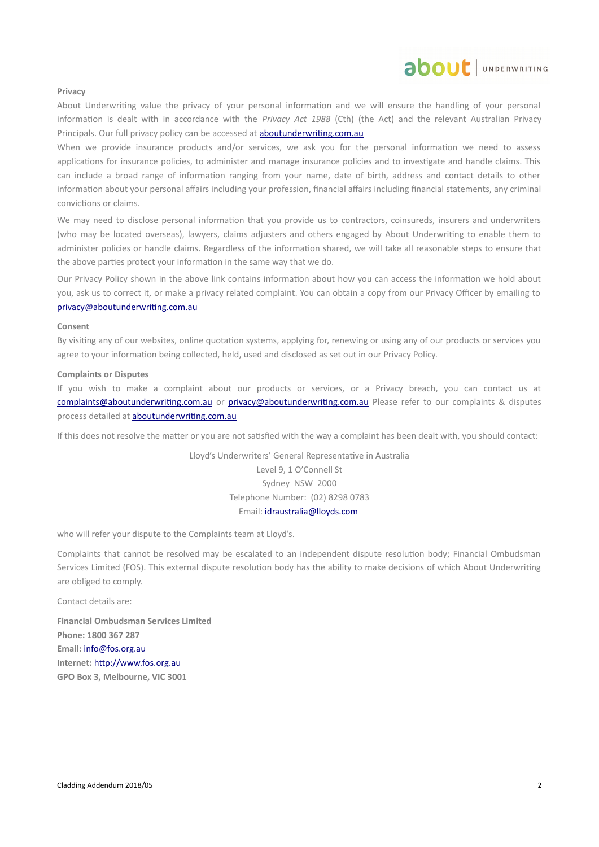# about JUNDERWRITING

#### **Privacy**

About Underwriting value the privacy of your personal information and we will ensure the handling of your personal informaton is dealt with in accordance with the *Privacy Act 1988* (Cth) (the Act) and the relevant Australian Privacy Principals. Our full privacy policy can be accessed at **aboutunderwriting.com.au** 

When we provide insurance products and/or services, we ask you for the personal information we need to assess applications for insurance policies, to administer and manage insurance policies and to investigate and handle claims. This can include a broad range of information ranging from your name, date of birth, address and contact details to other information about your personal affairs including your profession, financial affairs including financial statements, any criminal convictions or claims.

We may need to disclose personal information that you provide us to contractors, coinsureds, insurers and underwriters (who may be located overseas), lawyers, claims adjusters and others engaged by About Underwritng to enable them to administer policies or handle claims. Regardless of the information shared, we will take all reasonable steps to ensure that the above parties protect your information in the same way that we do.

Our Privacy Policy shown in the above link contains information about how you can access the information we hold about you, ask us to correct it, or make a privacy related complaint. You can obtain a copy from our Privacy Officer by emailing to privacy@aboutunderwriting.com.au

#### **Consent**

By visitng any of our websites, online quotaton systems, applying for, renewing or using any of our products or services you agree to your information being collected, held, used and disclosed as set out in our Privacy Policy.

#### **Complaints or Disputes**

If you wish to make a complaint about our products or services, or a Privacy breach, you can contact us at complaints@aboutunderwriting.com.au or privacy@aboutunderwriting.com.au Please refer to our complaints & disputes process detailed at aboutunderwriting.com.au

If this does not resolve the matter or you are not satisfied with the way a complaint has been dealt with, you should contact:

Lloyd's Underwriters' General Representative in Australia Level 9, 1 O'Connell St Sydney NSW 2000 Telephone Number: (02) 8298 0783 Email: [idraustralia@lloyds.com](mailto:idraustralia@lloyds.com)

who will refer your dispute to the Complaints team at Lloyd's.

Complaints that cannot be resolved may be escalated to an independent dispute resolution body; Financial Ombudsman Services Limited (FOS). This external dispute resolution body has the ability to make decisions of which About Underwriting are obliged to comply.

Contact details are:

**Financial Ombudsman Services Limited Phone: 1800 367 287 Email:** [info@fos.org.au](mailto:info@fos.org.au) **Internet:** [htp://www.fos.org.au](http://www.fos.org.au/) **GPO Box 3, Melbourne, VIC 3001**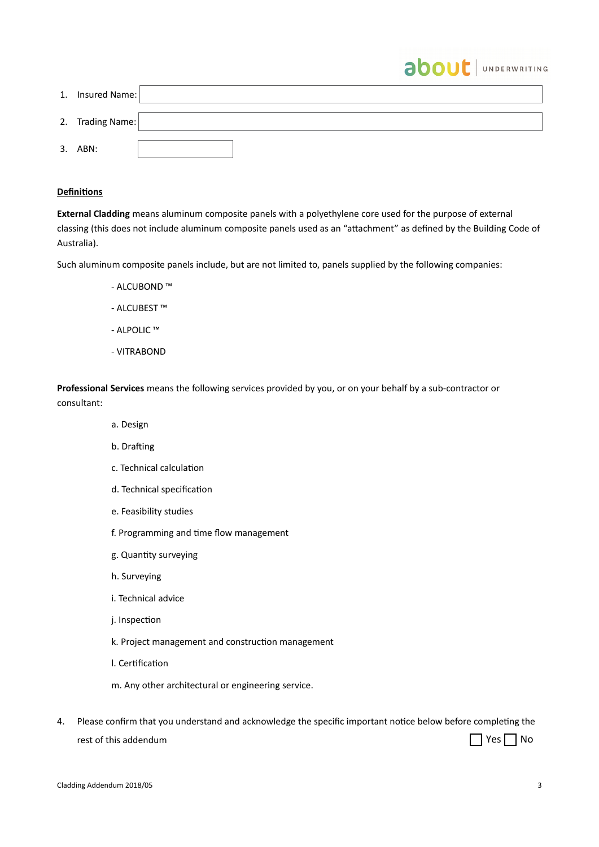| 1. Insured Name: |  |
|------------------|--|
| 2. Trading Name: |  |
| 3. ABN:          |  |

about | UNDERWRITING

# **Definitions**

**External Cladding** means aluminum composite panels with a polyethylene core used for the purpose of external classing (this does not include aluminum composite panels used as an "attachment" as defined by the Building Code of Australia).

Such aluminum composite panels include, but are not limited to, panels supplied by the following companies:

- ALCUBOND ™
- ALCUBEST ™
- ALPOLIC ™
- VITRABOND

**Professional Services** means the following services provided by you, or on your behalf by a sub-contractor or consultant:

- a. Design
- b. Drafting
- c. Technical calculation
- d. Technical specification
- e. Feasibility studies
- f. Programming and time flow management
- g. Quantity surveying
- h. Surveying
- i. Technical advice
- j. Inspection
- k. Project management and construction management
- l. Certification
- m. Any other architectural or engineering service.
- 4. Please confirm that you understand and acknowledge the specific important notice below before completing the rest of this addendum ■ Yes ■ No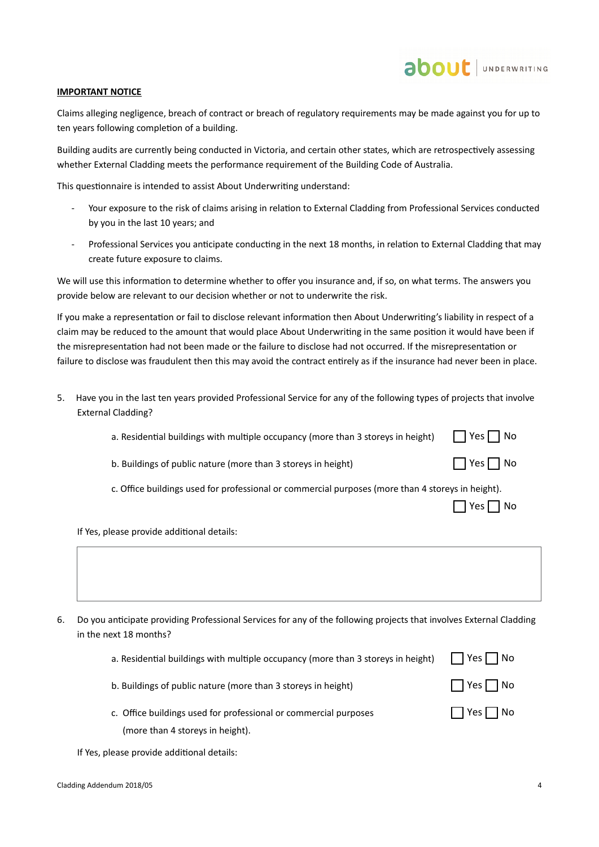# **IMPORTANT NOTICE**

Claims alleging negligence, breach of contract or breach of regulatory requirements may be made against you for up to ten years following completion of a building.

Building audits are currently being conducted in Victoria, and certain other states, which are retrospectvely assessing whether External Cladding meets the performance requirement of the Building Code of Australia.

This questonnaire is intended to assist About Underwritng understand:

- Your exposure to the risk of claims arising in relaton to External Cladding from Professional Services conducted by you in the last 10 years; and
- Professional Services you anticipate conducting in the next 18 months, in relation to External Cladding that may create future exposure to claims.

We will use this information to determine whether to offer you insurance and, if so, on what terms. The answers you provide below are relevant to our decision whether or not to underwrite the risk.

If you make a representation or fail to disclose relevant information then About Underwriting's liability in respect of a claim may be reduced to the amount that would place About Underwritng in the same positon it would have been if the misrepresentaton had not been made or the failure to disclose had not occurred. If the misrepresentaton or failure to disclose was fraudulent then this may avoid the contract entrely as if the insurance had never been in place.

- 5. Have you in the last ten years provided Professional Service for any of the following types of projects that involve External Cladding?
	- a. Residential buildings with multiple occupancy (more than 3 storeys in height)  $Yes \Box No$
	- b. Buildings of public nature (more than 3 storeys in height)
	- c. Office buildings used for professional or commercial purposes (more than 4 storeys in height).

 $\Box$  Yes  $\Box$  No

 $\Box$  Yes  $\Box$  No

about JUNDERWRITING

If Yes, please provide additonal details:

6. Do you anticipate providing Professional Services for any of the following projects that involves External Cladding in the next 18 months?

| a. Residential buildings with multiple occupancy (more than 3 storeys in height) | $\Box$ Yes $\Box$ No |  |  |  |
|----------------------------------------------------------------------------------|----------------------|--|--|--|
|----------------------------------------------------------------------------------|----------------------|--|--|--|

b. Buildings of public nature (more than 3 storeys in height)

c. Office buildings used for professional or commercial purposes

| Yes | Nο |
|-----|----|
|     |    |

|  | N۵<br>г |
|--|---------|
|  |         |

If Yes, please provide additonal details:

(more than 4 storeys in height).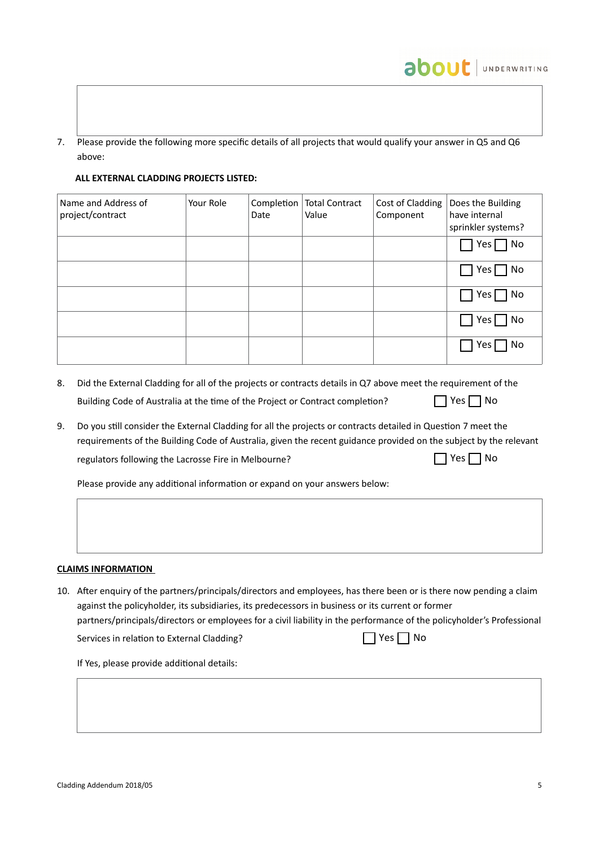7. Please provide the following more specific details of all projects that would qualify your answer in Q5 and Q6 above:

# **ALL EXTERNAL CLADDING PROJECTS LISTED:**

| Name and Address of<br>project/contract | Your Role | Date | Completion   Total Contract<br>Value | Cost of Cladding<br>Component | Does the Building<br>have internal<br>sprinkler systems? |
|-----------------------------------------|-----------|------|--------------------------------------|-------------------------------|----------------------------------------------------------|
|                                         |           |      |                                      |                               | $\Box$ Yes $\Box$ No                                     |
|                                         |           |      |                                      |                               | $\Box$ Yes $\Box$ No                                     |
|                                         |           |      |                                      |                               | $\Box$ Yes $\Box$ No                                     |
|                                         |           |      |                                      |                               | $\sqcap$ Yes $\lceil$<br>$\Box$ No                       |
|                                         |           |      |                                      |                               | $\Box$ No<br>$1$ Yes I                                   |

- 8. Did the External Cladding for all of the projects or contracts details in Q7 above meet the requirement of the Building Code of Australia at the tme of the Project or Contract completon?  $\Box$  Yes  $\Box$  No
- 9. Do you stll consider the External Cladding for all the projects or contracts detailed in Queston 7 meet the requirements of the Building Code of Australia, given the recent guidance provided on the subject by the relevant regulators following the Lacrosse Fire in Melbourne?  $\Box$  Yes  $\Box$  No

Please provide any additional information or expand on your answers below:

# **CLAIMS INFORMATION**

10. Afer enquiry of the partners/principals/directors and employees, has there been or is there now pending a claim against the policyholder, its subsidiaries, its predecessors in business or its current or former partners/principals/directors or employees for a civil liability in the performance of the policyholder's Professional Services in relation to External Cladding?

 $\Box$  Yes  $\Box$  No

about JUNDERWRITING

If Yes, please provide additonal details: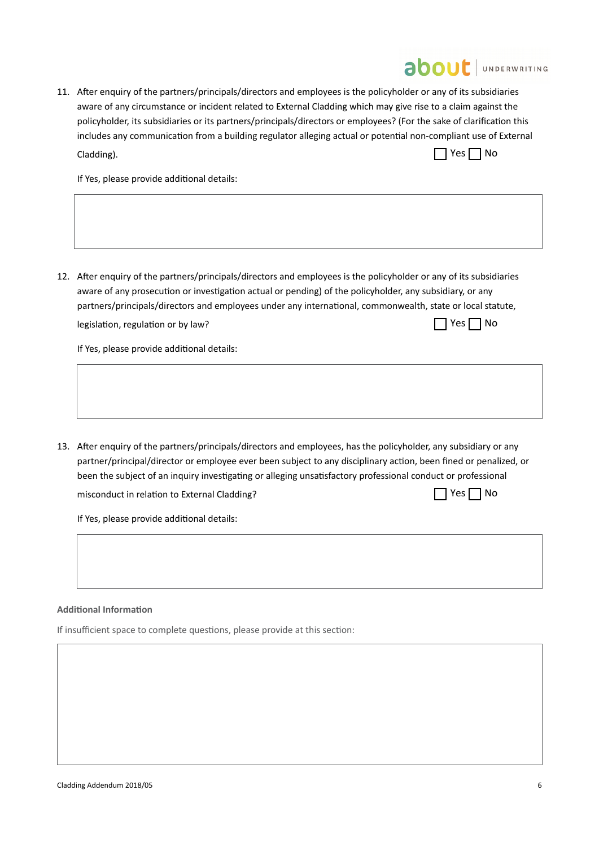|  | <b>about</b> JUNDERWRITING                                                                                                                                                                                                                                                                                                                                                                                                                                                                                      |
|--|-----------------------------------------------------------------------------------------------------------------------------------------------------------------------------------------------------------------------------------------------------------------------------------------------------------------------------------------------------------------------------------------------------------------------------------------------------------------------------------------------------------------|
|  | 11. After enquiry of the partners/principals/directors and employees is the policyholder or any of its subsidiaries<br>aware of any circumstance or incident related to External Cladding which may give rise to a claim against the<br>policyholder, its subsidiaries or its partners/principals/directors or employees? (For the sake of clarification this<br>includes any communication from a building regulator alleging actual or potential non-compliant use of External<br>Yes $\Box$ No<br>Cladding). |
|  | If Yes, please provide additional details:                                                                                                                                                                                                                                                                                                                                                                                                                                                                      |
|  |                                                                                                                                                                                                                                                                                                                                                                                                                                                                                                                 |
|  | 12. After enquiry of the partners/principals/directors and employees is the policyholder or any of its subsidiaries<br>aware of any prosecution or investigation actual or pending) of the policyholder, any subsidiary, or any<br>partners/principals/directors and employees under any international, commonwealth, state or local statute,                                                                                                                                                                   |
|  | Yes     No<br>legislation, regulation or by law?                                                                                                                                                                                                                                                                                                                                                                                                                                                                |
|  | If Yes, please provide additional details:                                                                                                                                                                                                                                                                                                                                                                                                                                                                      |
|  |                                                                                                                                                                                                                                                                                                                                                                                                                                                                                                                 |
|  | 13. After enquiry of the partners/principals/directors and employees, has the policyholder, any subsidiary or any<br>partner/principal/director or employee ever been subject to any disciplinary action, been fined or penalized, or<br>been the subject of an inquiry investigating or alleging unsatisfactory professional conduct or professional                                                                                                                                                           |
|  | Yes     No<br>misconduct in relation to External Cladding?                                                                                                                                                                                                                                                                                                                                                                                                                                                      |
|  | If Yes, please provide additional details:                                                                                                                                                                                                                                                                                                                                                                                                                                                                      |
|  |                                                                                                                                                                                                                                                                                                                                                                                                                                                                                                                 |
|  |                                                                                                                                                                                                                                                                                                                                                                                                                                                                                                                 |
|  | <b>Additional Information</b>                                                                                                                                                                                                                                                                                                                                                                                                                                                                                   |

If insufficient space to complete questions, please provide at this section: